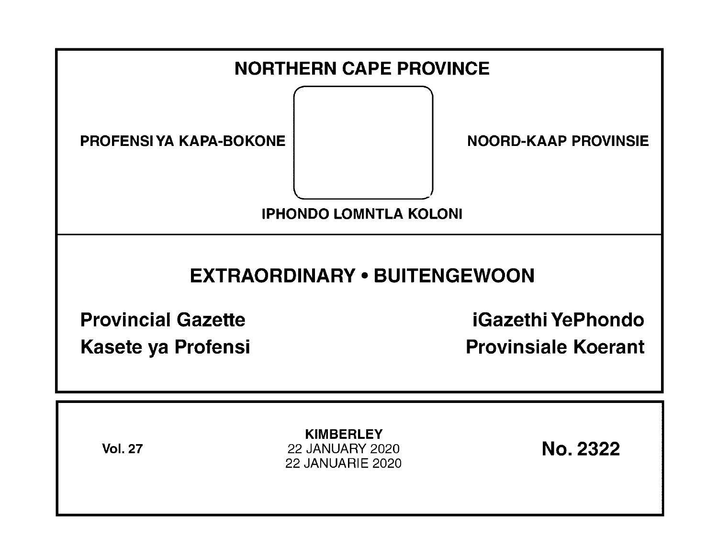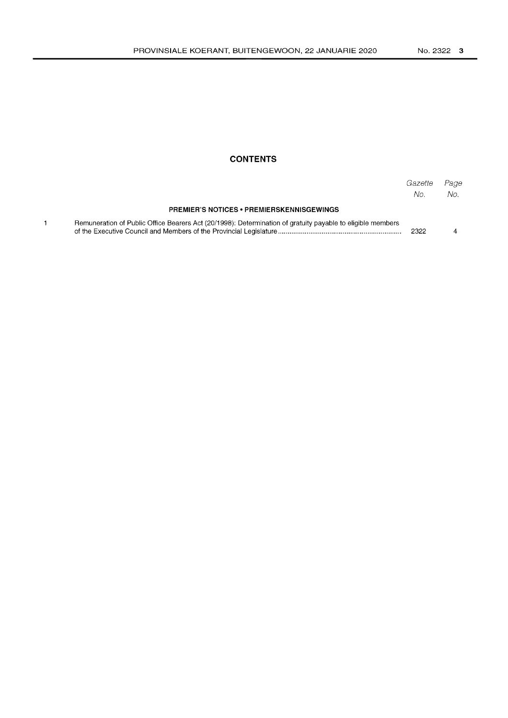## **CONTENTS**

|                                                                                                            | Gazette<br>No. | Page<br>No. |
|------------------------------------------------------------------------------------------------------------|----------------|-------------|
| <b>PREMIER'S NOTICES • PREMIERSKENNISGEWINGS</b>                                                           |                |             |
| Remuneration of Public Office Bearers Act (20/1998): Determination of gratuity payable to eligible members | 2322           |             |

 $\mathbf{1}$